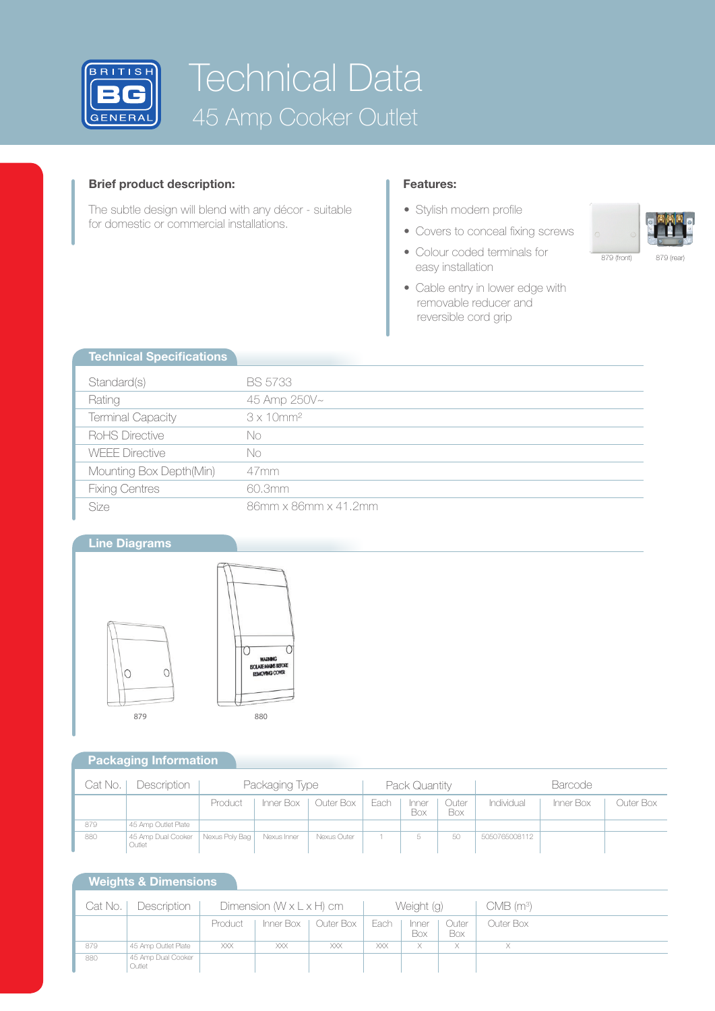

# Technical Data 45 Amp Cooker Outlet

## **Brief product description:**

**Technical Specifications**

The subtle design will blend with any décor - suitable for domestic or commercial installations.

### **Features:**

- Stylish modern profile
- Covers to conceal fixing screws
- Colour coded terminals for easy installation
- Cable entry in lower edge with removable reducer and reversible cord grip

| 879 (front) | 879 (rear) |
|-------------|------------|

| <b>Technical Specifications</b> |                               |
|---------------------------------|-------------------------------|
|                                 |                               |
| Standard(s)                     | <b>BS 5733</b>                |
| Rating                          | 45 Amp 250V~                  |
| <b>Terminal Capacity</b>        | $3 \times 10$ mm <sup>2</sup> |
| RoHS Directive                  | No                            |
| <b>WEEE Directive</b>           | No                            |
| Mounting Box Depth(Min)         | 47 <sub>mm</sub>              |
| <b>Fixing Centres</b>           | 60.3mm                        |
| Size                            | 86mm x 86mm x 41.2mm          |

## **Line Diagrams**



## **Packaging Information**

| Cat No. I | Description                  | Packaging Type |             |                       | Pack Quantity |                     |              | <b>Barcode</b> |           |           |
|-----------|------------------------------|----------------|-------------|-----------------------|---------------|---------------------|--------------|----------------|-----------|-----------|
|           |                              | Product        |             | Inner Box   Outer Box | Each          | Inner<br><b>Box</b> | Outer<br>Box | Individual     | Inner Box | Outer Box |
| 879       | 45 Amp Outlet Plate          |                |             |                       |               |                     |              |                |           |           |
| 880       | 45 Amp Dual Cooker<br>Outlet | Nexus Poly Bag | Nexus Inner | Nexus Outer           |               |                     | 50           | 5050765008112  |           |           |

## **Weights & Dimensions**

| Cat No. | Description                  | Dimension $(W \times L \times H)$ cm |      |                       | Weight (g) |              |              | $CMB$ (m <sup>3</sup> ) |
|---------|------------------------------|--------------------------------------|------|-----------------------|------------|--------------|--------------|-------------------------|
|         |                              | Product                              |      | Inner Box   Outer Box | Each       | Inner<br>Box | Outer<br>Box | Outer Box               |
| 879     | 45 Amp Outlet Plate          | XXX                                  | XXX. | XXX                   | XXX        | X.           | $\times$     | X                       |
| 880     | 45 Amp Dual Cooker<br>Outlet |                                      |      |                       |            |              |              |                         |